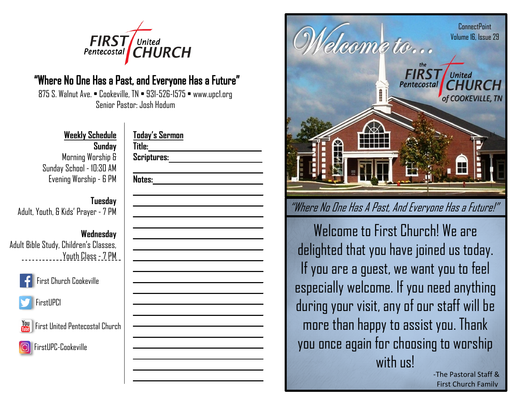

## "Where No One Has a Past, and Everyone Has a Future"

875 S. Walnut Ave. • Cookeville, TN • 931-526-1575 • www.upc1.org Senior Pastor: Josh Hodum

## **Weekly Schedule**

**Sunday** Morning Worship & Sunday School - 10:30 AM Evening Worship - 6 PM

### **Tuesday** Adult, Youth, & Kids' Prayer - 7 PM

## **Wednesday**

Adult Bible Study, Children's Classes, Youth Class - 7 PM



First Church Cookeville





First United Pentecostal Church



**Today's Sermon Title: Scriptures: Notes:**



Welcome to First Church! We are delighted that you have joined us today. If you are a guest, we want you to feel especially welcome. If you need anything during your visit, any of our staff will be more than happy to assist you. Thank you once again for choosing to worship with us!

-The Pastoral Staff & First Church Family